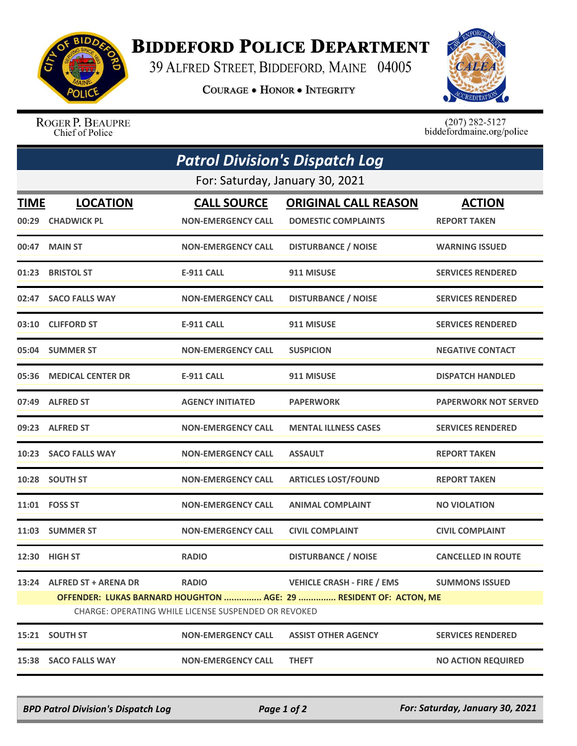

## **BIDDEFORD POLICE DEPARTMENT**

39 ALFRED STREET, BIDDEFORD, MAINE 04005

**COURAGE . HONOR . INTEGRITY** 



ROGER P. BEAUPRE Chief of Police

 $(207)$  282-5127<br>biddefordmaine.org/police

|                                                                                                                           | <b>Patrol Division's Dispatch Log</b> |                           |                                   |                             |  |  |  |
|---------------------------------------------------------------------------------------------------------------------------|---------------------------------------|---------------------------|-----------------------------------|-----------------------------|--|--|--|
| For: Saturday, January 30, 2021                                                                                           |                                       |                           |                                   |                             |  |  |  |
| TIME                                                                                                                      | <b>LOCATION</b>                       | <b>CALL SOURCE</b>        | <b>ORIGINAL CALL REASON</b>       | <b>ACTION</b>               |  |  |  |
| 00:29                                                                                                                     | <b>CHADWICK PL</b>                    | <b>NON-EMERGENCY CALL</b> | <b>DOMESTIC COMPLAINTS</b>        | <b>REPORT TAKEN</b>         |  |  |  |
| 00:47                                                                                                                     | <b>MAIN ST</b>                        | <b>NON-EMERGENCY CALL</b> | <b>DISTURBANCE / NOISE</b>        | <b>WARNING ISSUED</b>       |  |  |  |
| 01:23                                                                                                                     | <b>BRISTOL ST</b>                     | <b>E-911 CALL</b>         | 911 MISUSE                        | <b>SERVICES RENDERED</b>    |  |  |  |
|                                                                                                                           | 02:47 SACO FALLS WAY                  | <b>NON-EMERGENCY CALL</b> | <b>DISTURBANCE / NOISE</b>        | <b>SERVICES RENDERED</b>    |  |  |  |
|                                                                                                                           | 03:10 CLIFFORD ST                     | <b>E-911 CALL</b>         | 911 MISUSE                        | <b>SERVICES RENDERED</b>    |  |  |  |
|                                                                                                                           | 05:04 SUMMER ST                       | <b>NON-EMERGENCY CALL</b> | <b>SUSPICION</b>                  | <b>NEGATIVE CONTACT</b>     |  |  |  |
|                                                                                                                           | 05:36 MEDICAL CENTER DR               | E-911 CALL                | 911 MISUSE                        | <b>DISPATCH HANDLED</b>     |  |  |  |
|                                                                                                                           | 07:49 ALFRED ST                       | <b>AGENCY INITIATED</b>   | <b>PAPERWORK</b>                  | <b>PAPERWORK NOT SERVED</b> |  |  |  |
|                                                                                                                           | 09:23 ALFRED ST                       | <b>NON-EMERGENCY CALL</b> | <b>MENTAL ILLNESS CASES</b>       | <b>SERVICES RENDERED</b>    |  |  |  |
| 10:23                                                                                                                     | <b>SACO FALLS WAY</b>                 | <b>NON-EMERGENCY CALL</b> | <b>ASSAULT</b>                    | <b>REPORT TAKEN</b>         |  |  |  |
|                                                                                                                           | 10:28 SOUTH ST                        | <b>NON-EMERGENCY CALL</b> | <b>ARTICLES LOST/FOUND</b>        | <b>REPORT TAKEN</b>         |  |  |  |
|                                                                                                                           | 11:01 FOSS ST                         | <b>NON-EMERGENCY CALL</b> | <b>ANIMAL COMPLAINT</b>           | <b>NO VIOLATION</b>         |  |  |  |
| 11:03                                                                                                                     | <b>SUMMER ST</b>                      | <b>NON-EMERGENCY CALL</b> | <b>CIVIL COMPLAINT</b>            | <b>CIVIL COMPLAINT</b>      |  |  |  |
|                                                                                                                           | 12:30 HIGH ST                         | <b>RADIO</b>              | <b>DISTURBANCE / NOISE</b>        | <b>CANCELLED IN ROUTE</b>   |  |  |  |
|                                                                                                                           | 13:24 ALFRED ST + ARENA DR            | <b>RADIO</b>              | <b>VEHICLE CRASH - FIRE / EMS</b> | <b>SUMMONS ISSUED</b>       |  |  |  |
| OFFENDER: LUKAS BARNARD HOUGHTON  AGE: 29  RESIDENT OF: ACTON, ME<br>CHARGE: OPERATING WHILE LICENSE SUSPENDED OR REVOKED |                                       |                           |                                   |                             |  |  |  |
| 15:21                                                                                                                     | <b>SOUTH ST</b>                       | <b>NON-EMERGENCY CALL</b> | <b>ASSIST OTHER AGENCY</b>        | <b>SERVICES RENDERED</b>    |  |  |  |
| 15:38                                                                                                                     | <b>SACO FALLS WAY</b>                 | <b>NON-EMERGENCY CALL</b> | <b>THEFT</b>                      | <b>NO ACTION REQUIRED</b>   |  |  |  |

*BPD Patrol Division's Dispatch Log Page 1 of 2 For: Saturday, January 30, 2021*